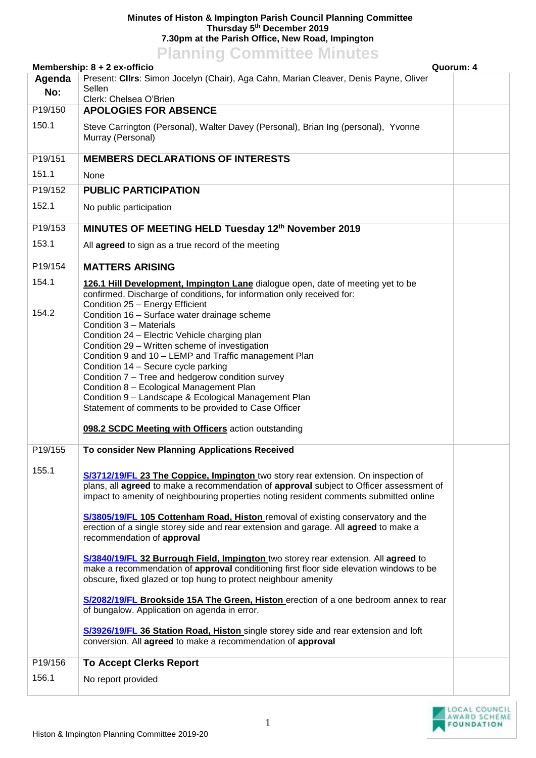## **Minutes of Histon & Impington Parish Council Planning Committee Thursday 5th December 2019 7.30pm at the Parish Office, New Road, Impington Planning Committee Minutes**

|         | <b>FRITTING COMMITTEE</b> MITTULES<br>Membership: 8 + 2 ex-officio<br>Quorum: 4                                                                                                                                                                                                                                                                                                                                                                                                                                                                                                                                                                                                                                                                                                                                                                                                                                                                                                                                                   |  |
|---------|-----------------------------------------------------------------------------------------------------------------------------------------------------------------------------------------------------------------------------------------------------------------------------------------------------------------------------------------------------------------------------------------------------------------------------------------------------------------------------------------------------------------------------------------------------------------------------------------------------------------------------------------------------------------------------------------------------------------------------------------------------------------------------------------------------------------------------------------------------------------------------------------------------------------------------------------------------------------------------------------------------------------------------------|--|
| Agenda  | Present: CIIrs: Simon Jocelyn (Chair), Aga Cahn, Marian Cleaver, Denis Payne, Oliver                                                                                                                                                                                                                                                                                                                                                                                                                                                                                                                                                                                                                                                                                                                                                                                                                                                                                                                                              |  |
| No:     | Sellen<br>Clerk: Chelsea O'Brien                                                                                                                                                                                                                                                                                                                                                                                                                                                                                                                                                                                                                                                                                                                                                                                                                                                                                                                                                                                                  |  |
| P19/150 | <b>APOLOGIES FOR ABSENCE</b>                                                                                                                                                                                                                                                                                                                                                                                                                                                                                                                                                                                                                                                                                                                                                                                                                                                                                                                                                                                                      |  |
| 150.1   | Steve Carrington (Personal), Walter Davey (Personal), Brian Ing (personal), Yvonne<br>Murray (Personal)                                                                                                                                                                                                                                                                                                                                                                                                                                                                                                                                                                                                                                                                                                                                                                                                                                                                                                                           |  |
| P19/151 | <b>MEMBERS DECLARATIONS OF INTERESTS</b>                                                                                                                                                                                                                                                                                                                                                                                                                                                                                                                                                                                                                                                                                                                                                                                                                                                                                                                                                                                          |  |
| 151.1   | None                                                                                                                                                                                                                                                                                                                                                                                                                                                                                                                                                                                                                                                                                                                                                                                                                                                                                                                                                                                                                              |  |
| P19/152 | <b>PUBLIC PARTICIPATION</b>                                                                                                                                                                                                                                                                                                                                                                                                                                                                                                                                                                                                                                                                                                                                                                                                                                                                                                                                                                                                       |  |
| 152.1   | No public participation                                                                                                                                                                                                                                                                                                                                                                                                                                                                                                                                                                                                                                                                                                                                                                                                                                                                                                                                                                                                           |  |
|         |                                                                                                                                                                                                                                                                                                                                                                                                                                                                                                                                                                                                                                                                                                                                                                                                                                                                                                                                                                                                                                   |  |
| P19/153 | MINUTES OF MEETING HELD Tuesday 12th November 2019                                                                                                                                                                                                                                                                                                                                                                                                                                                                                                                                                                                                                                                                                                                                                                                                                                                                                                                                                                                |  |
| 153.1   | All agreed to sign as a true record of the meeting                                                                                                                                                                                                                                                                                                                                                                                                                                                                                                                                                                                                                                                                                                                                                                                                                                                                                                                                                                                |  |
| P19/154 | <b>MATTERS ARISING</b>                                                                                                                                                                                                                                                                                                                                                                                                                                                                                                                                                                                                                                                                                                                                                                                                                                                                                                                                                                                                            |  |
| 154.1   | 126.1 Hill Development, Impington Lane dialogue open, date of meeting yet to be<br>confirmed. Discharge of conditions, for information only received for:<br>Condition 25 - Energy Efficient                                                                                                                                                                                                                                                                                                                                                                                                                                                                                                                                                                                                                                                                                                                                                                                                                                      |  |
| 154.2   | Condition 16 - Surface water drainage scheme<br>Condition 3 - Materials<br>Condition 24 - Electric Vehicle charging plan<br>Condition 29 - Written scheme of investigation<br>Condition 9 and 10 - LEMP and Traffic management Plan<br>Condition 14 - Secure cycle parking<br>Condition 7 - Tree and hedgerow condition survey                                                                                                                                                                                                                                                                                                                                                                                                                                                                                                                                                                                                                                                                                                    |  |
|         | Condition 8 - Ecological Management Plan<br>Condition 9 - Landscape & Ecological Management Plan<br>Statement of comments to be provided to Case Officer<br>098.2 SCDC Meeting with Officers action outstanding                                                                                                                                                                                                                                                                                                                                                                                                                                                                                                                                                                                                                                                                                                                                                                                                                   |  |
| P19/155 | To consider New Planning Applications Received                                                                                                                                                                                                                                                                                                                                                                                                                                                                                                                                                                                                                                                                                                                                                                                                                                                                                                                                                                                    |  |
| 155.1   | S/3712/19/FL 23 The Coppice, Impington two story rear extension. On inspection of<br>plans, all agreed to make a recommendation of approval subject to Officer assessment of<br>impact to amenity of neighbouring properties noting resident comments submitted online<br>S/3805/19/FL 105 Cottenham Road, Histon removal of existing conservatory and the<br>erection of a single storey side and rear extension and garage. All agreed to make a<br>recommendation of approval<br>S/3840/19/FL 32 Burrough Field, Impington two storey rear extension. All agreed to<br>make a recommendation of approval conditioning first floor side elevation windows to be<br>obscure, fixed glazed or top hung to protect neighbour amenity<br>S/2082/19/FL Brookside 15A The Green, Histon erection of a one bedroom annex to rear<br>of bungalow. Application on agenda in error.<br>S/3926/19/FL 36 Station Road, Histon single storey side and rear extension and loft<br>conversion. All agreed to make a recommendation of approval |  |
| P19/156 | <b>To Accept Clerks Report</b>                                                                                                                                                                                                                                                                                                                                                                                                                                                                                                                                                                                                                                                                                                                                                                                                                                                                                                                                                                                                    |  |
| 156.1   | No report provided                                                                                                                                                                                                                                                                                                                                                                                                                                                                                                                                                                                                                                                                                                                                                                                                                                                                                                                                                                                                                |  |